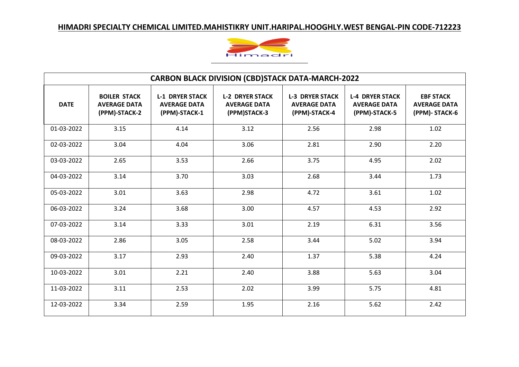

| <b>CARBON BLACK DIVISION (CBD)STACK DATA-MARCH-2022</b> |                                                             |                                                                |                                                               |                                                                |                                                                |                                                           |  |
|---------------------------------------------------------|-------------------------------------------------------------|----------------------------------------------------------------|---------------------------------------------------------------|----------------------------------------------------------------|----------------------------------------------------------------|-----------------------------------------------------------|--|
| <b>DATE</b>                                             | <b>BOILER STACK</b><br><b>AVERAGE DATA</b><br>(PPM)-STACK-2 | <b>L-1 DRYER STACK</b><br><b>AVERAGE DATA</b><br>(PPM)-STACK-1 | <b>L-2 DRYER STACK</b><br><b>AVERAGE DATA</b><br>(PPM)STACK-3 | <b>L-3 DRYER STACK</b><br><b>AVERAGE DATA</b><br>(PPM)-STACK-4 | <b>L-4 DRYER STACK</b><br><b>AVERAGE DATA</b><br>(PPM)-STACK-5 | <b>EBF STACK</b><br><b>AVERAGE DATA</b><br>(PPM)- STACK-6 |  |
| 01-03-2022                                              | 3.15                                                        | 4.14                                                           | 3.12                                                          | 2.56                                                           | 2.98                                                           | 1.02                                                      |  |
| 02-03-2022                                              | 3.04                                                        | 4.04                                                           | 3.06                                                          | 2.81                                                           | 2.90                                                           | 2.20                                                      |  |
| 03-03-2022                                              | 2.65                                                        | 3.53                                                           | 2.66                                                          | 3.75                                                           | 4.95                                                           | 2.02                                                      |  |
| 04-03-2022                                              | 3.14                                                        | 3.70                                                           | 3.03                                                          | 2.68                                                           | 3.44                                                           | 1.73                                                      |  |
| 05-03-2022                                              | 3.01                                                        | 3.63                                                           | 2.98                                                          | 4.72                                                           | 3.61                                                           | 1.02                                                      |  |
| 06-03-2022                                              | 3.24                                                        | 3.68                                                           | 3.00                                                          | 4.57                                                           | 4.53                                                           | 2.92                                                      |  |
| 07-03-2022                                              | 3.14                                                        | 3.33                                                           | 3.01                                                          | 2.19                                                           | 6.31                                                           | 3.56                                                      |  |
| 08-03-2022                                              | 2.86                                                        | 3.05                                                           | 2.58                                                          | 3.44                                                           | 5.02                                                           | 3.94                                                      |  |
| 09-03-2022                                              | 3.17                                                        | 2.93                                                           | 2.40                                                          | 1.37                                                           | 5.38                                                           | 4.24                                                      |  |
| 10-03-2022                                              | 3.01                                                        | 2.21                                                           | 2.40                                                          | 3.88                                                           | 5.63                                                           | 3.04                                                      |  |
| 11-03-2022                                              | 3.11                                                        | 2.53                                                           | 2.02                                                          | 3.99                                                           | 5.75                                                           | 4.81                                                      |  |
| 12-03-2022                                              | 3.34                                                        | 2.59                                                           | 1.95                                                          | 2.16                                                           | 5.62                                                           | 2.42                                                      |  |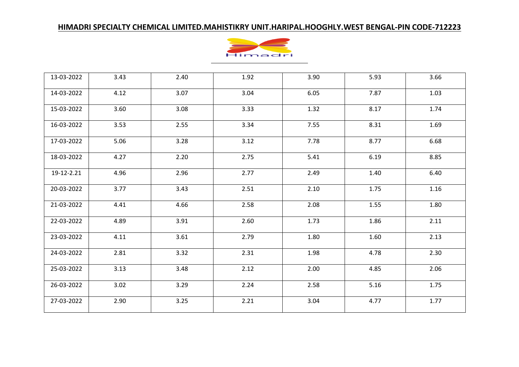

| 13-03-2022 | 3.43 | 2.40 | 1.92 | 3.90 | 5.93 | 3.66 |
|------------|------|------|------|------|------|------|
| 14-03-2022 | 4.12 | 3.07 | 3.04 | 6.05 | 7.87 | 1.03 |
| 15-03-2022 | 3.60 | 3.08 | 3.33 | 1.32 | 8.17 | 1.74 |
| 16-03-2022 | 3.53 | 2.55 | 3.34 | 7.55 | 8.31 | 1.69 |
| 17-03-2022 | 5.06 | 3.28 | 3.12 | 7.78 | 8.77 | 6.68 |
| 18-03-2022 | 4.27 | 2.20 | 2.75 | 5.41 | 6.19 | 8.85 |
| 19-12-2.21 | 4.96 | 2.96 | 2.77 | 2.49 | 1.40 | 6.40 |
| 20-03-2022 | 3.77 | 3.43 | 2.51 | 2.10 | 1.75 | 1.16 |
| 21-03-2022 | 4.41 | 4.66 | 2.58 | 2.08 | 1.55 | 1.80 |
| 22-03-2022 | 4.89 | 3.91 | 2.60 | 1.73 | 1.86 | 2.11 |
| 23-03-2022 | 4.11 | 3.61 | 2.79 | 1.80 | 1.60 | 2.13 |
| 24-03-2022 | 2.81 | 3.32 | 2.31 | 1.98 | 4.78 | 2.30 |
| 25-03-2022 | 3.13 | 3.48 | 2.12 | 2.00 | 4.85 | 2.06 |
| 26-03-2022 | 3.02 | 3.29 | 2.24 | 2.58 | 5.16 | 1.75 |
| 27-03-2022 | 2.90 | 3.25 | 2.21 | 3.04 | 4.77 | 1.77 |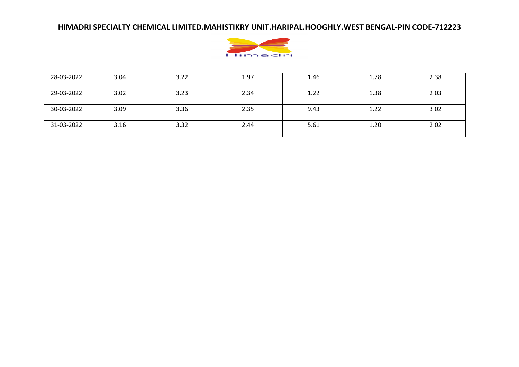

| 28-03-2022 | 3.04 | 3.22 | 1.97 | 1.46 | 1.78 | 2.38 |
|------------|------|------|------|------|------|------|
| 29-03-2022 | 3.02 | 3.23 | 2.34 | 1.22 | 1.38 | 2.03 |
| 30-03-2022 | 3.09 | 3.36 | 2.35 | 9.43 | 1.22 | 3.02 |
| 31-03-2022 | 3.16 | 3.32 | 2.44 | 5.61 | 1.20 | 2.02 |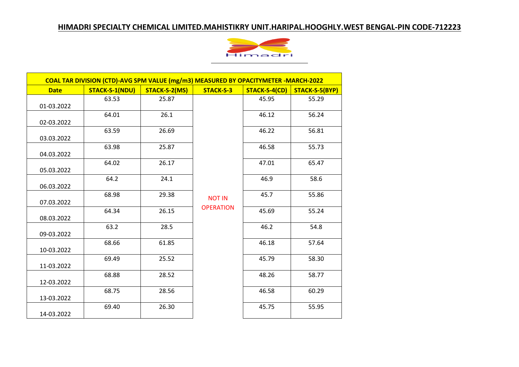

| <b>Date</b> | <b>STACK-S-1(NDU)</b> | STACK-S-2(MS) | STACK-S-3        | STACK-S-4(CD) | STACK-S-5(BYP) |
|-------------|-----------------------|---------------|------------------|---------------|----------------|
| 01-03.2022  | 63.53                 | 25.87         |                  | 45.95         | 55.29          |
| 02-03.2022  | 64.01                 | 26.1          |                  | 46.12         | 56.24          |
| 03.03.2022  | 63.59                 | 26.69         |                  | 46.22         | 56.81          |
| 04.03.2022  | 63.98                 | 25.87         |                  | 46.58         | 55.73          |
| 05.03.2022  | 64.02                 | 26.17         |                  | 47.01         | 65.47          |
| 06.03.2022  | 64.2                  | 24.1          |                  | 46.9          | 58.6           |
| 07.03.2022  | 68.98                 | 29.38         | <b>NOT IN</b>    | 45.7          | 55.86          |
| 08.03.2022  | 64.34                 | 26.15         | <b>OPERATION</b> | 45.69         | 55.24          |
| 09-03.2022  | 63.2                  | 28.5          |                  | 46.2          | 54.8           |
| 10-03.2022  | 68.66                 | 61.85         |                  | 46.18         | 57.64          |
| 11-03.2022  | 69.49                 | 25.52         |                  | 45.79         | 58.30          |
| 12-03.2022  | 68.88                 | 28.52         |                  | 48.26         | 58.77          |
| 13-03.2022  | 68.75                 | 28.56         |                  | 46.58         | 60.29          |
| 14-03.2022  | 69.40                 | 26.30         |                  | 45.75         | 55.95          |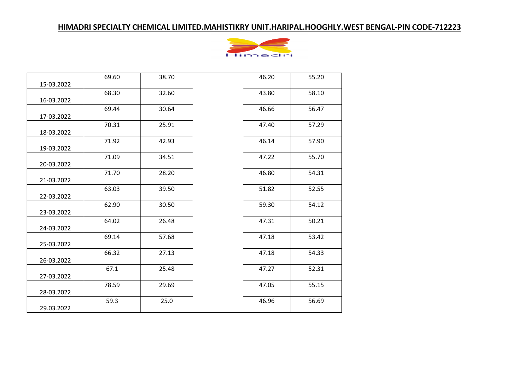

|            | 69.60 | 38.70 | 46.20 | 55.20 |
|------------|-------|-------|-------|-------|
| 15-03.2022 |       |       |       |       |
| 16-03.2022 | 68.30 | 32.60 | 43.80 | 58.10 |
|            | 69.44 | 30.64 | 46.66 | 56.47 |
| 17-03.2022 |       |       |       |       |
|            | 70.31 | 25.91 | 47.40 | 57.29 |
| 18-03.2022 |       |       |       |       |
|            | 71.92 | 42.93 | 46.14 | 57.90 |
| 19-03.2022 |       |       |       |       |
|            | 71.09 | 34.51 | 47.22 | 55.70 |
| 20-03.2022 |       |       |       |       |
| 21-03.2022 | 71.70 | 28.20 | 46.80 | 54.31 |
|            | 63.03 | 39.50 | 51.82 | 52.55 |
| 22-03.2022 |       |       |       |       |
|            | 62.90 | 30.50 | 59.30 | 54.12 |
| 23-03.2022 |       |       |       |       |
|            | 64.02 | 26.48 | 47.31 | 50.21 |
| 24-03.2022 |       |       |       |       |
|            | 69.14 | 57.68 | 47.18 | 53.42 |
| 25-03.2022 |       |       |       |       |
|            | 66.32 | 27.13 | 47.18 | 54.33 |
| 26-03.2022 |       |       |       |       |
| 27-03.2022 | 67.1  | 25.48 | 47.27 | 52.31 |
|            | 78.59 | 29.69 | 47.05 | 55.15 |
| 28-03.2022 |       |       |       |       |
|            | 59.3  | 25.0  | 46.96 | 56.69 |
| 29.03.2022 |       |       |       |       |

| 46.20 | 55.20 |
|-------|-------|
| 43.80 | 58.10 |
| 46.66 | 56.47 |
| 47.40 | 57.29 |
| 46.14 | 57.90 |
| 47.22 | 55.70 |
| 46.80 | 54.31 |
| 51.82 | 52.55 |
| 59.30 | 54.12 |
| 47.31 | 50.21 |
| 47.18 | 53.42 |
| 47.18 | 54.33 |
| 47.27 | 52.31 |
| 47.05 | 55.15 |
| 46.96 | 56.69 |